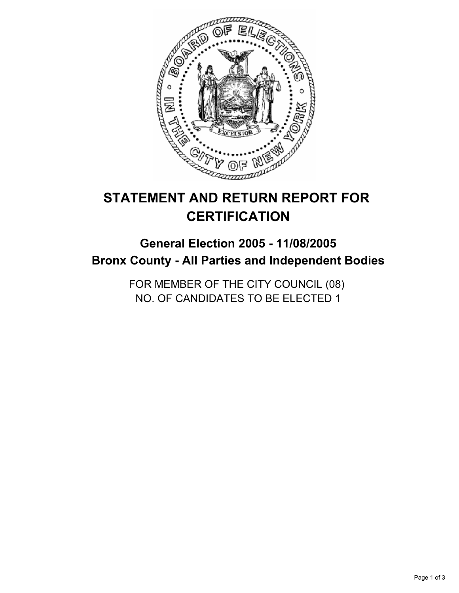

# **STATEMENT AND RETURN REPORT FOR CERTIFICATION**

## **General Election 2005 - 11/08/2005 Bronx County - All Parties and Independent Bodies**

FOR MEMBER OF THE CITY COUNCIL (08) NO. OF CANDIDATES TO BE ELECTED 1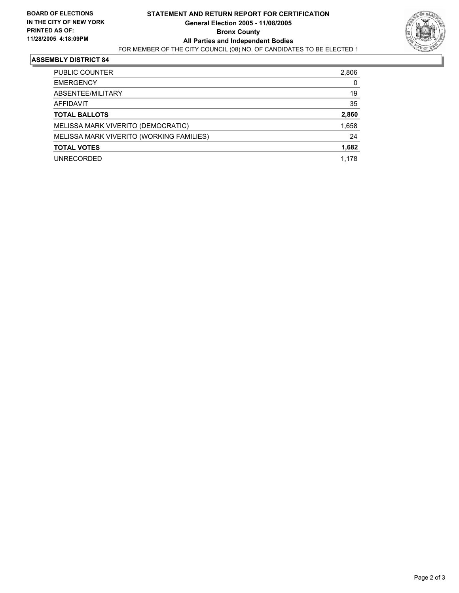

#### **ASSEMBLY DISTRICT 84**

| <b>PUBLIC COUNTER</b>                    | 2,806 |
|------------------------------------------|-------|
| <b>EMERGENCY</b>                         |       |
| ABSENTEE/MILITARY                        | 19    |
| AFFIDAVIT                                | 35    |
| <b>TOTAL BALLOTS</b>                     | 2,860 |
| MELISSA MARK VIVERITO (DEMOCRATIC)       | 1,658 |
| MELISSA MARK VIVERITO (WORKING FAMILIES) | 24    |
| <b>TOTAL VOTES</b>                       | 1,682 |
| <b>UNRECORDED</b>                        | 1,178 |
|                                          |       |